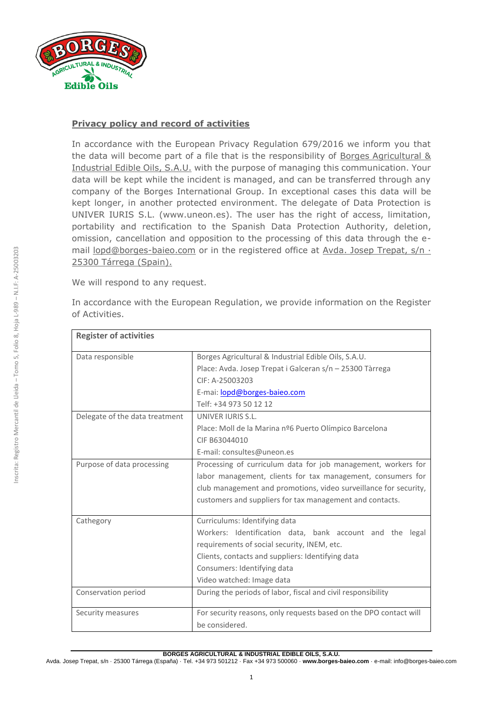

## **Privacy policy and record of activities**

In accordance with the European Privacy Regulation 679/2016 we inform you that the data will become part of a file that is the responsibility of Borges Agricultural & Industrial Edible Oils, S.A.U. with the purpose of managing this communication. Your data will be kept while the incident is managed, and can be transferred through any company of the Borges International Group. In exceptional cases this data will be kept longer, in another protected environment. The delegate of Data Protection is UNIVER IURIS S.L. (www.uneon.es). The user has the right of access, limitation, portability and rectification to the Spanish Data Protection Authority, deletion, omission, cancellation and opposition to the processing of this data through the email lopd@borges-baieo.com or in the registered office at Avda. Josep Trepat, s/n · 25300 Tárrega (Spain).

We will respond to any request.

| In accordance with the European Regulation, we provide information on the Register |  |  |  |  |  |
|------------------------------------------------------------------------------------|--|--|--|--|--|
| of Activities.                                                                     |  |  |  |  |  |

| <b>Register of activities</b>  |                                                                   |  |  |  |  |  |  |
|--------------------------------|-------------------------------------------------------------------|--|--|--|--|--|--|
| Data responsible               | Borges Agricultural & Industrial Edible Oils, S.A.U.              |  |  |  |  |  |  |
|                                | Place: Avda. Josep Trepat i Galceran s/n - 25300 Tàrrega          |  |  |  |  |  |  |
|                                | CIF: A-25003203                                                   |  |  |  |  |  |  |
|                                | E-mai: lopd@borges-baieo.com                                      |  |  |  |  |  |  |
|                                | Telf: +34 973 50 12 12                                            |  |  |  |  |  |  |
| Delegate of the data treatment | UNIVER IURIS S.L.                                                 |  |  |  |  |  |  |
|                                | Place: Moll de la Marina nº6 Puerto Olímpico Barcelona            |  |  |  |  |  |  |
|                                | CIF B63044010                                                     |  |  |  |  |  |  |
|                                | E-mail: consultes@uneon.es                                        |  |  |  |  |  |  |
| Purpose of data processing     | Processing of curriculum data for job management, workers for     |  |  |  |  |  |  |
|                                | labor management, clients for tax management, consumers for       |  |  |  |  |  |  |
|                                | club management and promotions, video surveillance for security,  |  |  |  |  |  |  |
|                                | customers and suppliers for tax management and contacts.          |  |  |  |  |  |  |
| Cathegory                      | Curriculums: Identifying data                                     |  |  |  |  |  |  |
|                                | Workers: Identification data, bank account and the legal          |  |  |  |  |  |  |
|                                | requirements of social security, INEM, etc.                       |  |  |  |  |  |  |
|                                | Clients, contacts and suppliers: Identifying data                 |  |  |  |  |  |  |
|                                | Consumers: Identifying data                                       |  |  |  |  |  |  |
|                                | Video watched: Image data                                         |  |  |  |  |  |  |
| Conservation period            | During the periods of labor, fiscal and civil responsibility      |  |  |  |  |  |  |
| Security measures              | For security reasons, only requests based on the DPO contact will |  |  |  |  |  |  |
|                                | be considered.                                                    |  |  |  |  |  |  |

## Avda. Josep Trepat, s/n · 25300 Tárrega (España) · Tel. +34 973 501212 · Fax +34 973 500060 · **www.borges-baieo.com** · e-mail: info@borges-baieo.com